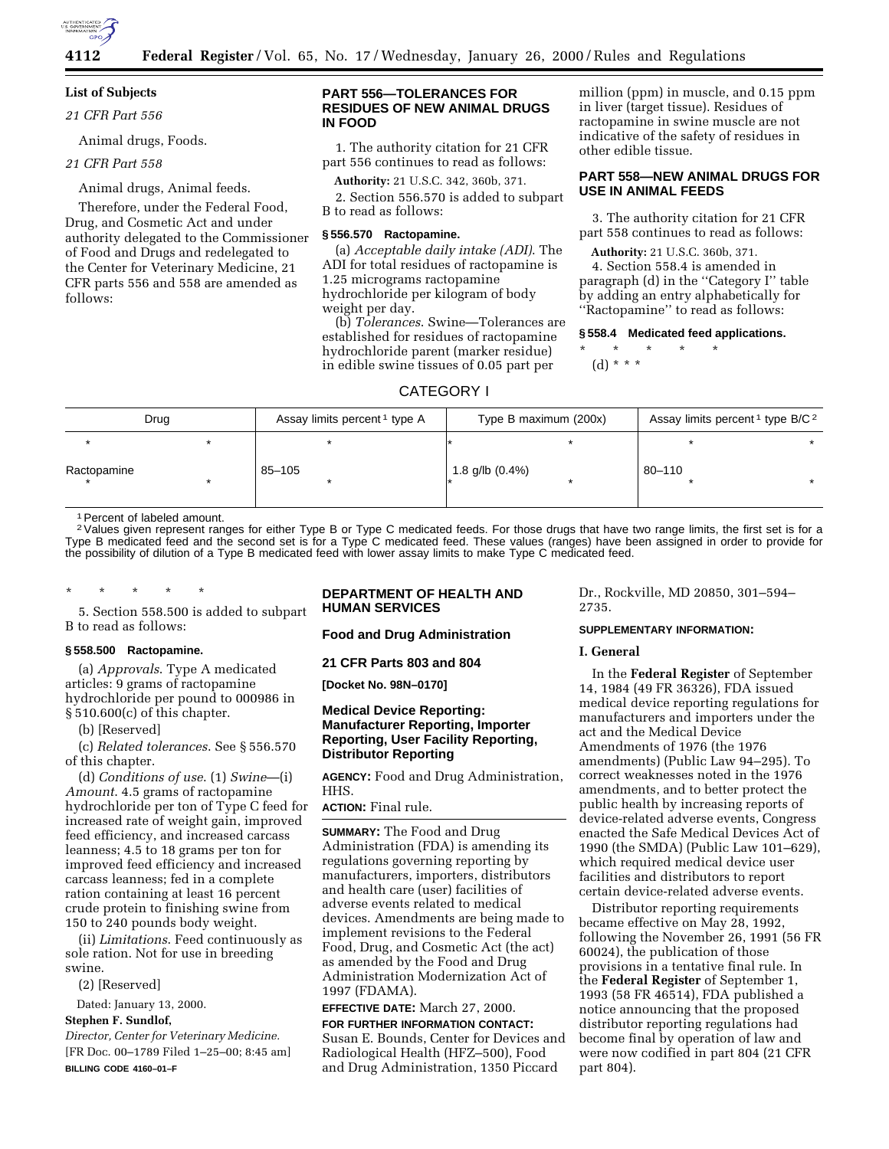

# *21 CFR Part 556*

Animal drugs, Foods.

# *21 CFR Part 558*

# Animal drugs, Animal feeds.

Therefore, under the Federal Food, Drug, and Cosmetic Act and under authority delegated to the Commissioner of Food and Drugs and redelegated to the Center for Veterinary Medicine, 21 CFR parts 556 and 558 are amended as follows:

1. The authority citation for 21 CFR part 556 continues to read as follows:

**Authority:** 21 U.S.C. 342, 360b, 371.

2. Section 556.570 is added to subpart B to read as follows:

# **§ 556.570 Ractopamine.**

(a) *Acceptable daily intake (ADI)*. The ADI for total residues of ractopamine is 1.25 micrograms ractopamine hydrochloride per kilogram of body weight per day.

(b) *Tolerances*. Swine—Tolerances are established for residues of ractopamine hydrochloride parent (marker residue) in edible swine tissues of 0.05 part per

million (ppm) in muscle, and 0.15 ppm in liver (target tissue). Residues of ractopamine in swine muscle are not indicative of the safety of residues in other edible tissue.

# **PART 558—NEW ANIMAL DRUGS FOR USE IN ANIMAL FEEDS**

3. The authority citation for 21 CFR part 558 continues to read as follows:

**Authority:** 21 U.S.C. 360b, 371.

4. Section 558.4 is amended in paragraph (d) in the ''Category I'' table by adding an entry alphabetically for ''Ractopamine'' to read as follows:

# **§ 558.4 Medicated feed applications.**

\* \* \* \* \* (d) \* \* \*

| Drug        |  | Assay limits percent <sup>1</sup> type A | Type B maximum (200x) | Assay limits percent <sup>1</sup> type B/C <sup>2</sup> |
|-------------|--|------------------------------------------|-----------------------|---------------------------------------------------------|
|             |  |                                          |                       |                                                         |
| Ractopamine |  | 85-105                                   | 1.8 g/lb $(0.4\%)$    | 80-110                                                  |

1Percent of labeled amount.

2Values given represent ranges for either Type B or Type C medicated feeds. For those drugs that have two range limits, the first set is for a Type B medicated feed and the second set is for a Type C medicated feed. These values (ranges) have been assigned in order to provide for the possibility of dilution of a Type B medicated feed with lower assay limits to make Type C medicated feed.

\* \* \* \* \*

5. Section 558.500 is added to subpart B to read as follows:

# **§ 558.500 Ractopamine.**

(a) *Approvals*. Type A medicated articles: 9 grams of ractopamine hydrochloride per pound to 000986 in § 510.600(c) of this chapter.

(b) [Reserved]

(c) *Related tolerances*. See § 556.570 of this chapter.

(d) *Conditions of use*. (1) *Swine*—(i) *Amount*. 4.5 grams of ractopamine hydrochloride per ton of Type C feed for increased rate of weight gain, improved feed efficiency, and increased carcass leanness; 4.5 to 18 grams per ton for improved feed efficiency and increased carcass leanness; fed in a complete ration containing at least 16 percent crude protein to finishing swine from 150 to 240 pounds body weight.

(ii) *Limitations*. Feed continuously as sole ration. Not for use in breeding swine.

(2) [Reserved]

Dated: January 13, 2000.

**Stephen F. Sundlof,**

*Director, Center for Veterinary Medicine.* [FR Doc. 00–1789 Filed 1–25–00; 8:45 am] **BILLING CODE 4160–01–F**

# **DEPARTMENT OF HEALTH AND HUMAN SERVICES**

**Food and Drug Administration**

# **21 CFR Parts 803 and 804**

# **Medical Device Reporting: Manufacturer Reporting, Importer Reporting, User Facility Reporting, Distributor Reporting**

**AGENCY:** Food and Drug Administration, HHS.

# **ACTION:** Final rule.

**SUMMARY:** The Food and Drug Administration (FDA) is amending its regulations governing reporting by manufacturers, importers, distributors and health care (user) facilities of adverse events related to medical devices. Amendments are being made to implement revisions to the Federal Food, Drug, and Cosmetic Act (the act) as amended by the Food and Drug Administration Modernization Act of 1997 (FDAMA).

# **EFFECTIVE DATE:** March 27, 2000.

**FOR FURTHER INFORMATION CONTACT:** Susan E. Bounds, Center for Devices and Radiological Health (HFZ–500), Food and Drug Administration, 1350 Piccard

Dr., Rockville, MD 20850, 301–594– 2735.

# **SUPPLEMENTARY INFORMATION:**

In the **Federal Register** of September 14, 1984 (49 FR 36326), FDA issued medical device reporting regulations for manufacturers and importers under the act and the Medical Device Amendments of 1976 (the 1976 amendments) (Public Law 94–295). To correct weaknesses noted in the 1976 amendments, and to better protect the public health by increasing reports of device-related adverse events, Congress enacted the Safe Medical Devices Act of 1990 (the SMDA) (Public Law 101–629), which required medical device user facilities and distributors to report certain device-related adverse events.

Distributor reporting requirements became effective on May 28, 1992, following the November 26, 1991 (56 FR 60024), the publication of those provisions in a tentative final rule. In the **Federal Register** of September 1, 1993 (58 FR 46514), FDA published a notice announcing that the proposed distributor reporting regulations had become final by operation of law and were now codified in part 804 (21 CFR part 804).

**[Docket No. 98N–0170]**

# CATEGORY I

**I. General**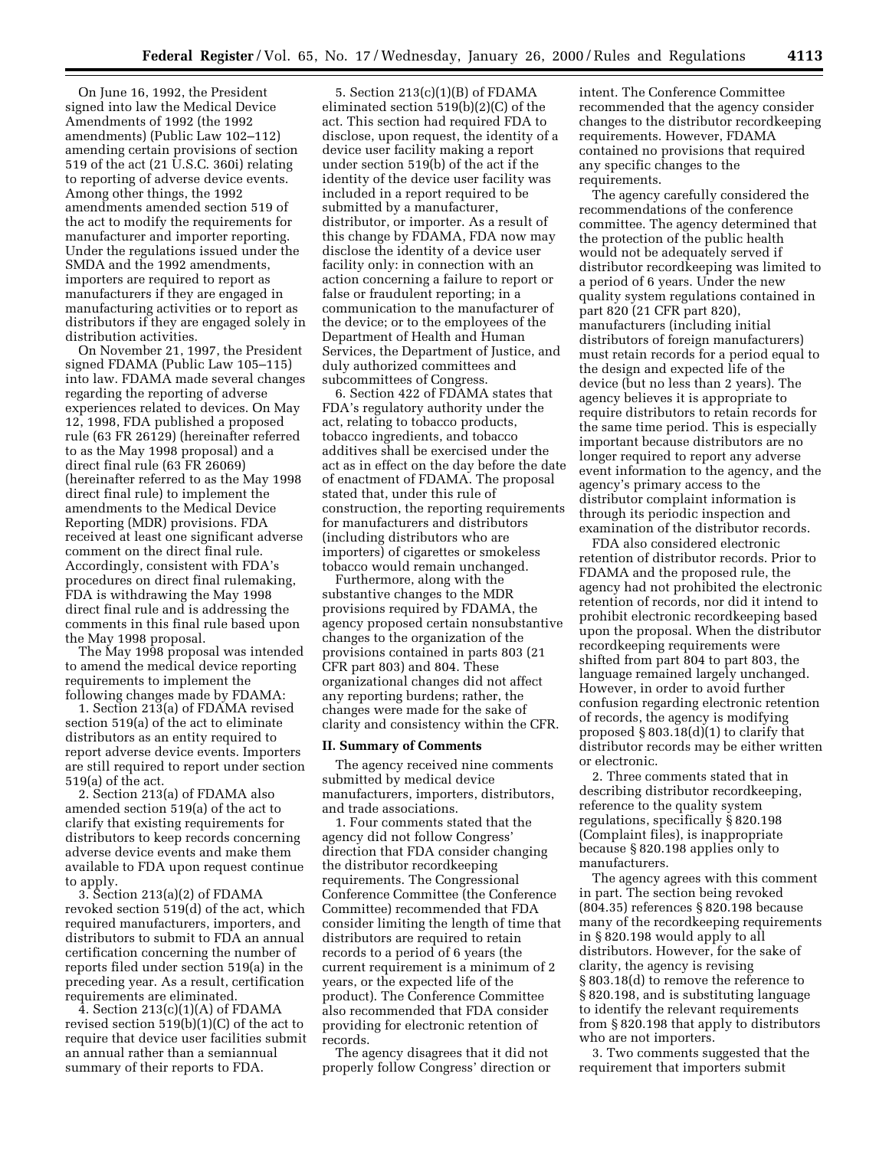On June 16, 1992, the President signed into law the Medical Device Amendments of 1992 (the 1992 amendments) (Public Law 102–112) amending certain provisions of section 519 of the act (21 U.S.C. 360i) relating to reporting of adverse device events. Among other things, the 1992 amendments amended section 519 of the act to modify the requirements for manufacturer and importer reporting. Under the regulations issued under the SMDA and the 1992 amendments, importers are required to report as manufacturers if they are engaged in manufacturing activities or to report as distributors if they are engaged solely in distribution activities.

On November 21, 1997, the President signed FDAMA (Public Law 105–115) into law. FDAMA made several changes regarding the reporting of adverse experiences related to devices. On May 12, 1998, FDA published a proposed rule (63 FR 26129) (hereinafter referred to as the May 1998 proposal) and a direct final rule (63 FR 26069) (hereinafter referred to as the May 1998 direct final rule) to implement the amendments to the Medical Device Reporting (MDR) provisions. FDA received at least one significant adverse comment on the direct final rule. Accordingly, consistent with FDA's procedures on direct final rulemaking, FDA is withdrawing the May 1998 direct final rule and is addressing the comments in this final rule based upon the May 1998 proposal.

The May 1998 proposal was intended to amend the medical device reporting requirements to implement the following changes made by FDAMA:

1. Section 213(a) of FDAMA revised section 519(a) of the act to eliminate distributors as an entity required to report adverse device events. Importers are still required to report under section 519(a) of the act.

2. Section 213(a) of FDAMA also amended section 519(a) of the act to clarify that existing requirements for distributors to keep records concerning adverse device events and make them available to FDA upon request continue to apply.

3. Section 213(a)(2) of FDAMA revoked section 519(d) of the act, which required manufacturers, importers, and distributors to submit to FDA an annual certification concerning the number of reports filed under section 519(a) in the preceding year. As a result, certification requirements are eliminated.

4. Section 213(c)(1)(A) of FDAMA revised section 519(b)(1)(C) of the act to require that device user facilities submit an annual rather than a semiannual summary of their reports to FDA.

5. Section 213(c)(1)(B) of FDAMA eliminated section 519(b)(2)(C) of the act. This section had required FDA to disclose, upon request, the identity of a device user facility making a report under section 519(b) of the act if the identity of the device user facility was included in a report required to be submitted by a manufacturer, distributor, or importer. As a result of this change by FDAMA, FDA now may disclose the identity of a device user facility only: in connection with an action concerning a failure to report or false or fraudulent reporting; in a communication to the manufacturer of the device; or to the employees of the Department of Health and Human Services, the Department of Justice, and duly authorized committees and subcommittees of Congress.

6. Section 422 of FDAMA states that FDA's regulatory authority under the act, relating to tobacco products, tobacco ingredients, and tobacco additives shall be exercised under the act as in effect on the day before the date of enactment of FDAMA. The proposal stated that, under this rule of construction, the reporting requirements for manufacturers and distributors (including distributors who are importers) of cigarettes or smokeless tobacco would remain unchanged.

Furthermore, along with the substantive changes to the MDR provisions required by FDAMA, the agency proposed certain nonsubstantive changes to the organization of the provisions contained in parts 803 (21 CFR part 803) and 804. These organizational changes did not affect any reporting burdens; rather, the changes were made for the sake of clarity and consistency within the CFR.

# **II. Summary of Comments**

The agency received nine comments submitted by medical device manufacturers, importers, distributors, and trade associations.

1. Four comments stated that the agency did not follow Congress' direction that FDA consider changing the distributor recordkeeping requirements. The Congressional Conference Committee (the Conference Committee) recommended that FDA consider limiting the length of time that distributors are required to retain records to a period of 6 years (the current requirement is a minimum of 2 years, or the expected life of the product). The Conference Committee also recommended that FDA consider providing for electronic retention of records.

The agency disagrees that it did not properly follow Congress' direction or intent. The Conference Committee recommended that the agency consider changes to the distributor recordkeeping requirements. However, FDAMA contained no provisions that required any specific changes to the requirements.

The agency carefully considered the recommendations of the conference committee. The agency determined that the protection of the public health would not be adequately served if distributor recordkeeping was limited to a period of 6 years. Under the new quality system regulations contained in part 820 (21 CFR part 820), manufacturers (including initial distributors of foreign manufacturers) must retain records for a period equal to the design and expected life of the device (but no less than 2 years). The agency believes it is appropriate to require distributors to retain records for the same time period. This is especially important because distributors are no longer required to report any adverse event information to the agency, and the agency's primary access to the distributor complaint information is through its periodic inspection and examination of the distributor records.

FDA also considered electronic retention of distributor records. Prior to FDAMA and the proposed rule, the agency had not prohibited the electronic retention of records, nor did it intend to prohibit electronic recordkeeping based upon the proposal. When the distributor recordkeeping requirements were shifted from part 804 to part 803, the language remained largely unchanged. However, in order to avoid further confusion regarding electronic retention of records, the agency is modifying proposed  $\S 803.18(d)(1)$  to clarify that distributor records may be either written or electronic.

2. Three comments stated that in describing distributor recordkeeping, reference to the quality system regulations, specifically § 820.198 (Complaint files), is inappropriate because § 820.198 applies only to manufacturers.

The agency agrees with this comment in part. The section being revoked (804.35) references § 820.198 because many of the recordkeeping requirements in § 820.198 would apply to all distributors. However, for the sake of clarity, the agency is revising § 803.18(d) to remove the reference to § 820.198, and is substituting language to identify the relevant requirements from § 820.198 that apply to distributors who are not importers.

3. Two comments suggested that the requirement that importers submit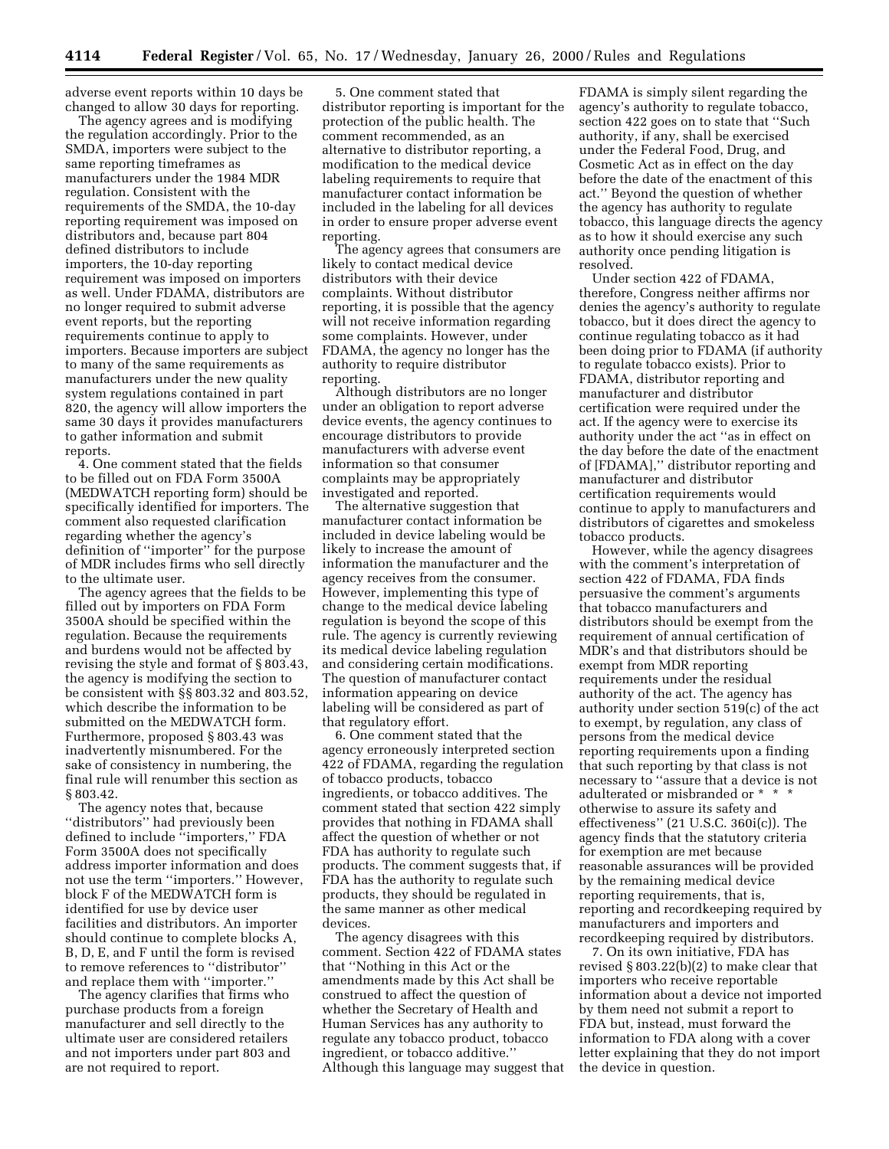adverse event reports within 10 days be changed to allow 30 days for reporting.

The agency agrees and is modifying the regulation accordingly. Prior to the SMDA, importers were subject to the same reporting timeframes as manufacturers under the 1984 MDR regulation. Consistent with the requirements of the SMDA, the 10-day reporting requirement was imposed on distributors and, because part 804 defined distributors to include importers, the 10-day reporting requirement was imposed on importers as well. Under FDAMA, distributors are no longer required to submit adverse event reports, but the reporting requirements continue to apply to importers. Because importers are subject to many of the same requirements as manufacturers under the new quality system regulations contained in part 820, the agency will allow importers the same 30 days it provides manufacturers to gather information and submit reports.

4. One comment stated that the fields to be filled out on FDA Form 3500A (MEDWATCH reporting form) should be specifically identified for importers. The comment also requested clarification regarding whether the agency's definition of ''importer'' for the purpose of MDR includes firms who sell directly to the ultimate user.

The agency agrees that the fields to be filled out by importers on FDA Form 3500A should be specified within the regulation. Because the requirements and burdens would not be affected by revising the style and format of § 803.43, the agency is modifying the section to be consistent with §§ 803.32 and 803.52, which describe the information to be submitted on the MEDWATCH form. Furthermore, proposed § 803.43 was inadvertently misnumbered. For the sake of consistency in numbering, the final rule will renumber this section as § 803.42.

The agency notes that, because "distributors" had previously been defined to include ''importers,'' FDA Form 3500A does not specifically address importer information and does not use the term ''importers.'' However, block F of the MEDWATCH form is identified for use by device user facilities and distributors. An importer should continue to complete blocks A, B, D, E, and F until the form is revised to remove references to ''distributor'' and replace them with ''importer.''

The agency clarifies that firms who purchase products from a foreign manufacturer and sell directly to the ultimate user are considered retailers and not importers under part 803 and are not required to report.

5. One comment stated that distributor reporting is important for the protection of the public health. The comment recommended, as an alternative to distributor reporting, a modification to the medical device labeling requirements to require that manufacturer contact information be included in the labeling for all devices in order to ensure proper adverse event reporting.

The agency agrees that consumers are likely to contact medical device distributors with their device complaints. Without distributor reporting, it is possible that the agency will not receive information regarding some complaints. However, under FDAMA, the agency no longer has the authority to require distributor reporting.

Although distributors are no longer under an obligation to report adverse device events, the agency continues to encourage distributors to provide manufacturers with adverse event information so that consumer complaints may be appropriately investigated and reported.

The alternative suggestion that manufacturer contact information be included in device labeling would be likely to increase the amount of information the manufacturer and the agency receives from the consumer. However, implementing this type of change to the medical device labeling regulation is beyond the scope of this rule. The agency is currently reviewing its medical device labeling regulation and considering certain modifications. The question of manufacturer contact information appearing on device labeling will be considered as part of that regulatory effort.

6. One comment stated that the agency erroneously interpreted section 422 of FDAMA, regarding the regulation of tobacco products, tobacco ingredients, or tobacco additives. The comment stated that section 422 simply provides that nothing in FDAMA shall affect the question of whether or not FDA has authority to regulate such products. The comment suggests that, if FDA has the authority to regulate such products, they should be regulated in the same manner as other medical devices.

The agency disagrees with this comment. Section 422 of FDAMA states that ''Nothing in this Act or the amendments made by this Act shall be construed to affect the question of whether the Secretary of Health and Human Services has any authority to regulate any tobacco product, tobacco ingredient, or tobacco additive.'' Although this language may suggest that

FDAMA is simply silent regarding the agency's authority to regulate tobacco, section 422 goes on to state that ''Such authority, if any, shall be exercised under the Federal Food, Drug, and Cosmetic Act as in effect on the day before the date of the enactment of this act.'' Beyond the question of whether the agency has authority to regulate tobacco, this language directs the agency as to how it should exercise any such authority once pending litigation is resolved.

Under section 422 of FDAMA, therefore, Congress neither affirms nor denies the agency's authority to regulate tobacco, but it does direct the agency to continue regulating tobacco as it had been doing prior to FDAMA (if authority to regulate tobacco exists). Prior to FDAMA, distributor reporting and manufacturer and distributor certification were required under the act. If the agency were to exercise its authority under the act ''as in effect on the day before the date of the enactment of [FDAMA],'' distributor reporting and manufacturer and distributor certification requirements would continue to apply to manufacturers and distributors of cigarettes and smokeless tobacco products.

However, while the agency disagrees with the comment's interpretation of section 422 of FDAMA, FDA finds persuasive the comment's arguments that tobacco manufacturers and distributors should be exempt from the requirement of annual certification of MDR's and that distributors should be exempt from MDR reporting requirements under the residual authority of the act. The agency has authority under section 519(c) of the act to exempt, by regulation, any class of persons from the medical device reporting requirements upon a finding that such reporting by that class is not necessary to ''assure that a device is not adulterated or misbranded or \* \* \* otherwise to assure its safety and effectiveness'' (21 U.S.C. 360i(c)). The agency finds that the statutory criteria for exemption are met because reasonable assurances will be provided by the remaining medical device reporting requirements, that is, reporting and recordkeeping required by manufacturers and importers and recordkeeping required by distributors.

7. On its own initiative, FDA has revised § 803.22(b)(2) to make clear that importers who receive reportable information about a device not imported by them need not submit a report to FDA but, instead, must forward the information to FDA along with a cover letter explaining that they do not import the device in question.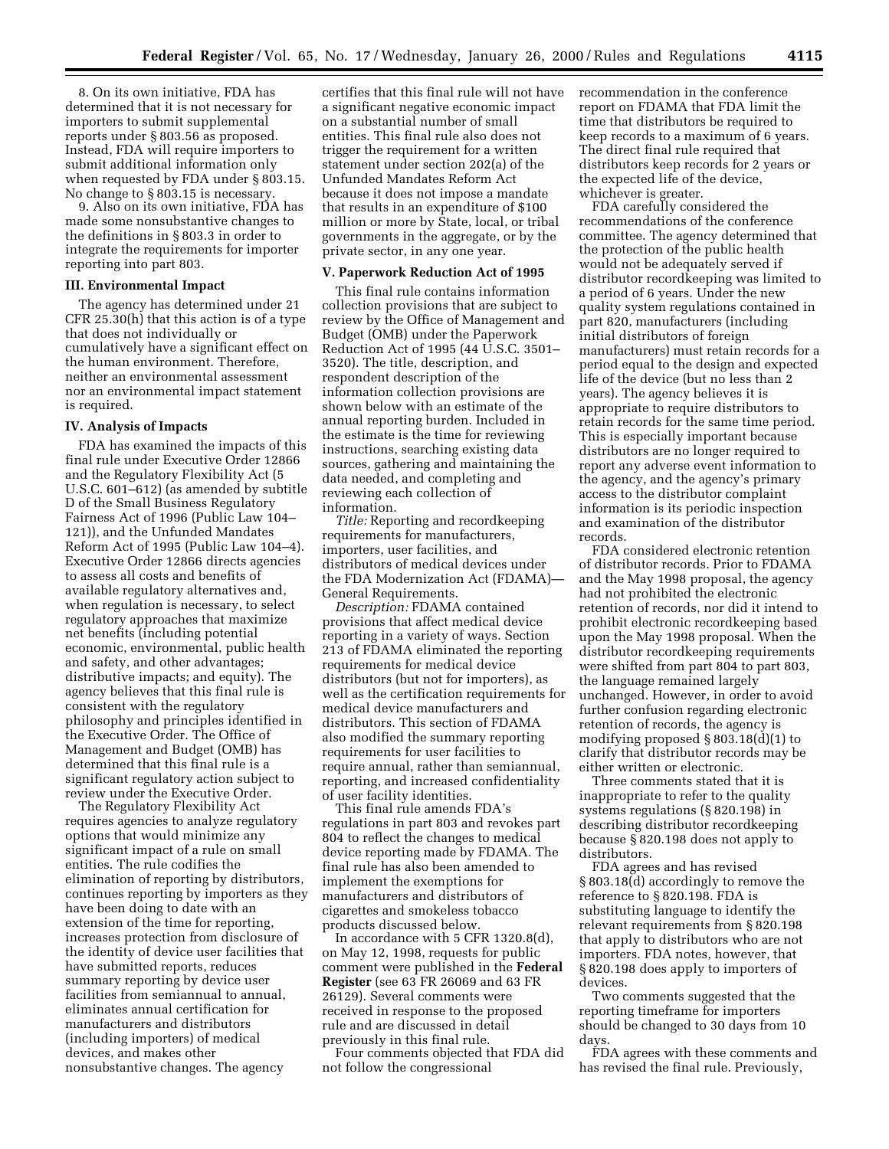8. On its own initiative, FDA has determined that it is not necessary for importers to submit supplemental reports under § 803.56 as proposed. Instead, FDA will require importers to submit additional information only when requested by FDA under § 803.15. No change to § 803.15 is necessary.

9. Also on its own initiative, FDA has made some nonsubstantive changes to the definitions in § 803.3 in order to integrate the requirements for importer reporting into part 803.

# **III. Environmental Impact**

The agency has determined under 21 CFR 25.30(h) that this action is of a type that does not individually or cumulatively have a significant effect on the human environment. Therefore, neither an environmental assessment nor an environmental impact statement is required.

# **IV. Analysis of Impacts**

FDA has examined the impacts of this final rule under Executive Order 12866 and the Regulatory Flexibility Act (5 U.S.C. 601–612) (as amended by subtitle D of the Small Business Regulatory Fairness Act of 1996 (Public Law 104– 121)), and the Unfunded Mandates Reform Act of 1995 (Public Law 104–4). Executive Order 12866 directs agencies to assess all costs and benefits of available regulatory alternatives and, when regulation is necessary, to select regulatory approaches that maximize net benefits (including potential economic, environmental, public health and safety, and other advantages; distributive impacts; and equity). The agency believes that this final rule is consistent with the regulatory philosophy and principles identified in the Executive Order. The Office of Management and Budget (OMB) has determined that this final rule is a significant regulatory action subject to review under the Executive Order.

The Regulatory Flexibility Act requires agencies to analyze regulatory options that would minimize any significant impact of a rule on small entities. The rule codifies the elimination of reporting by distributors, continues reporting by importers as they have been doing to date with an extension of the time for reporting, increases protection from disclosure of the identity of device user facilities that have submitted reports, reduces summary reporting by device user facilities from semiannual to annual, eliminates annual certification for manufacturers and distributors (including importers) of medical devices, and makes other nonsubstantive changes. The agency

certifies that this final rule will not have a significant negative economic impact on a substantial number of small entities. This final rule also does not trigger the requirement for a written statement under section 202(a) of the Unfunded Mandates Reform Act because it does not impose a mandate that results in an expenditure of \$100 million or more by State, local, or tribal governments in the aggregate, or by the private sector, in any one year.

# **V. Paperwork Reduction Act of 1995**

This final rule contains information collection provisions that are subject to review by the Office of Management and Budget (OMB) under the Paperwork Reduction Act of 1995 (44 U.S.C. 3501– 3520). The title, description, and respondent description of the information collection provisions are shown below with an estimate of the annual reporting burden. Included in the estimate is the time for reviewing instructions, searching existing data sources, gathering and maintaining the data needed, and completing and reviewing each collection of information.

*Title:* Reporting and recordkeeping requirements for manufacturers, importers, user facilities, and distributors of medical devices under the FDA Modernization Act (FDAMA)— General Requirements.

*Description:* FDAMA contained provisions that affect medical device reporting in a variety of ways. Section 213 of FDAMA eliminated the reporting requirements for medical device distributors (but not for importers), as well as the certification requirements for medical device manufacturers and distributors. This section of FDAMA also modified the summary reporting requirements for user facilities to require annual, rather than semiannual, reporting, and increased confidentiality of user facility identities.

This final rule amends FDA's regulations in part 803 and revokes part 804 to reflect the changes to medical device reporting made by FDAMA. The final rule has also been amended to implement the exemptions for manufacturers and distributors of cigarettes and smokeless tobacco products discussed below.

In accordance with 5 CFR 1320.8(d), on May 12, 1998, requests for public comment were published in the **Federal Register** (see 63 FR 26069 and 63 FR 26129). Several comments were received in response to the proposed rule and are discussed in detail previously in this final rule.

Four comments objected that FDA did not follow the congressional

recommendation in the conference report on FDAMA that FDA limit the time that distributors be required to keep records to a maximum of 6 years. The direct final rule required that distributors keep records for 2 years or the expected life of the device, whichever is greater.

FDA carefully considered the recommendations of the conference committee. The agency determined that the protection of the public health would not be adequately served if distributor recordkeeping was limited to a period of 6 years. Under the new quality system regulations contained in part 820, manufacturers (including initial distributors of foreign manufacturers) must retain records for a period equal to the design and expected life of the device (but no less than 2 years). The agency believes it is appropriate to require distributors to retain records for the same time period. This is especially important because distributors are no longer required to report any adverse event information to the agency, and the agency's primary access to the distributor complaint information is its periodic inspection and examination of the distributor records.

FDA considered electronic retention of distributor records. Prior to FDAMA and the May 1998 proposal, the agency had not prohibited the electronic retention of records, nor did it intend to prohibit electronic recordkeeping based upon the May 1998 proposal. When the distributor recordkeeping requirements were shifted from part 804 to part 803, the language remained largely unchanged. However, in order to avoid further confusion regarding electronic retention of records, the agency is modifying proposed § 803.18(d)(1) to clarify that distributor records may be either written or electronic.

Three comments stated that it is inappropriate to refer to the quality systems regulations (§ 820.198) in describing distributor recordkeeping because § 820.198 does not apply to distributors.

FDA agrees and has revised § 803.18(d) accordingly to remove the reference to § 820.198. FDA is substituting language to identify the relevant requirements from § 820.198 that apply to distributors who are not importers. FDA notes, however, that § 820.198 does apply to importers of devices.

Two comments suggested that the reporting timeframe for importers should be changed to 30 days from 10 days.

FDA agrees with these comments and has revised the final rule. Previously,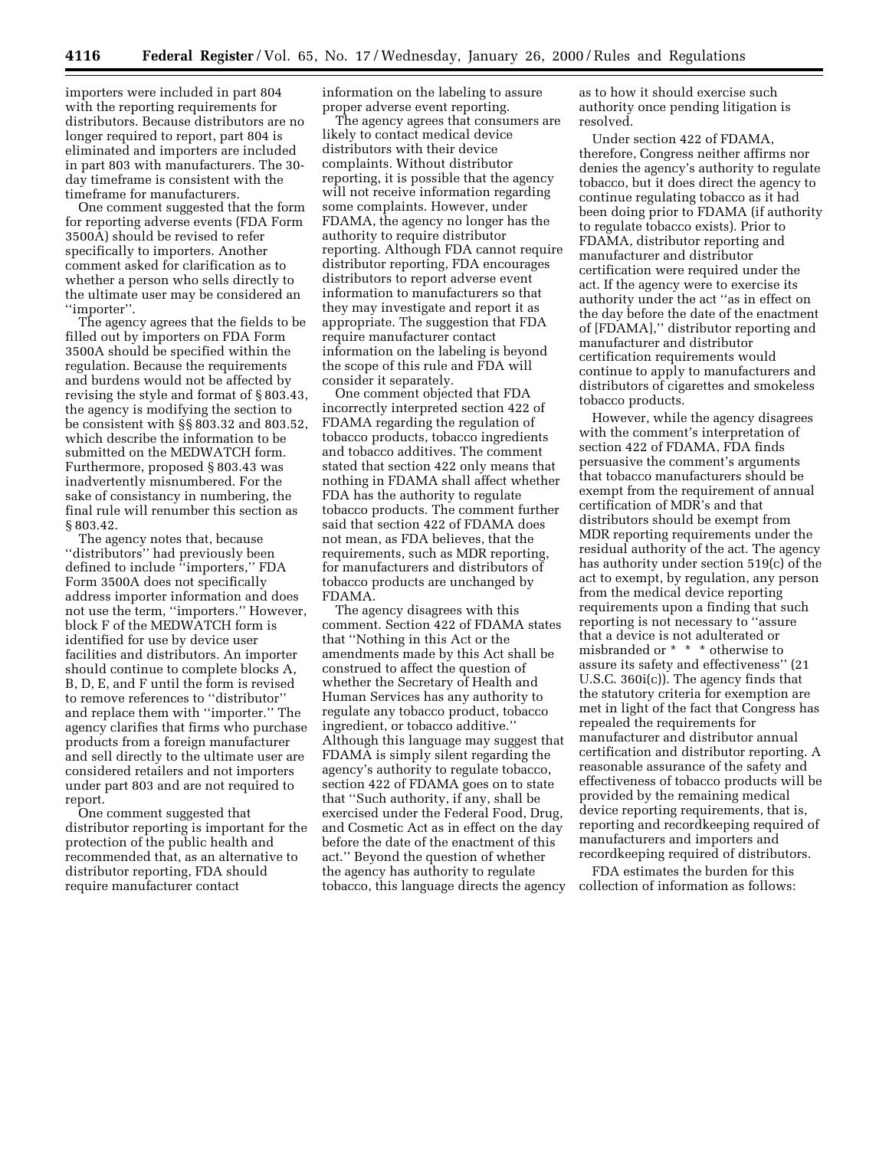importers were included in part 804 with the reporting requirements for distributors. Because distributors are no longer required to report, part 804 is eliminated and importers are included in part 803 with manufacturers. The 30 day timeframe is consistent with the timeframe for manufacturers.

One comment suggested that the form for reporting adverse events (FDA Form 3500A) should be revised to refer specifically to importers. Another comment asked for clarification as to whether a person who sells directly to the ultimate user may be considered an ''importer''.

The agency agrees that the fields to be filled out by importers on FDA Form 3500A should be specified within the regulation. Because the requirements and burdens would not be affected by revising the style and format of § 803.43, the agency is modifying the section to be consistent with §§ 803.32 and 803.52, which describe the information to be submitted on the MEDWATCH form. Furthermore, proposed § 803.43 was inadvertently misnumbered. For the sake of consistancy in numbering, the final rule will renumber this section as § 803.42.

The agency notes that, because ''distributors'' had previously been defined to include ''importers,'' FDA Form 3500A does not specifically address importer information and does not use the term, ''importers.'' However, block F of the MEDWATCH form is identified for use by device user facilities and distributors. An importer should continue to complete blocks A, B, D, E, and F until the form is revised to remove references to ''distributor'' and replace them with ''importer.'' The agency clarifies that firms who purchase products from a foreign manufacturer and sell directly to the ultimate user are considered retailers and not importers under part 803 and are not required to report.

One comment suggested that distributor reporting is important for the protection of the public health and recommended that, as an alternative to distributor reporting, FDA should require manufacturer contact

information on the labeling to assure proper adverse event reporting.

The agency agrees that consumers are likely to contact medical device distributors with their device complaints. Without distributor reporting, it is possible that the agency will not receive information regarding some complaints. However, under FDAMA, the agency no longer has the authority to require distributor reporting. Although FDA cannot require distributor reporting, FDA encourages distributors to report adverse event information to manufacturers so that they may investigate and report it as appropriate. The suggestion that FDA require manufacturer contact information on the labeling is beyond the scope of this rule and FDA will consider it separately.

One comment objected that FDA incorrectly interpreted section 422 of FDAMA regarding the regulation of tobacco products, tobacco ingredients and tobacco additives. The comment stated that section 422 only means that nothing in FDAMA shall affect whether FDA has the authority to regulate tobacco products. The comment further said that section 422 of FDAMA does not mean, as FDA believes, that the requirements, such as MDR reporting, for manufacturers and distributors of tobacco products are unchanged by FDAMA.

The agency disagrees with this comment. Section 422 of FDAMA states that ''Nothing in this Act or the amendments made by this Act shall be construed to affect the question of whether the Secretary of Health and Human Services has any authority to regulate any tobacco product, tobacco ingredient, or tobacco additive.'' Although this language may suggest that FDAMA is simply silent regarding the agency's authority to regulate tobacco, section 422 of FDAMA goes on to state that ''Such authority, if any, shall be exercised under the Federal Food, Drug, and Cosmetic Act as in effect on the day before the date of the enactment of this act.'' Beyond the question of whether the agency has authority to regulate tobacco, this language directs the agency as to how it should exercise such authority once pending litigation is resolved.

Under section 422 of FDAMA, therefore, Congress neither affirms nor denies the agency's authority to regulate tobacco, but it does direct the agency to continue regulating tobacco as it had been doing prior to FDAMA (if authority to regulate tobacco exists). Prior to FDAMA, distributor reporting and manufacturer and distributor certification were required under the act. If the agency were to exercise its authority under the act ''as in effect on the day before the date of the enactment of [FDAMA],'' distributor reporting and manufacturer and distributor certification requirements would continue to apply to manufacturers and distributors of cigarettes and smokeless tobacco products.

However, while the agency disagrees with the comment's interpretation of section 422 of FDAMA, FDA finds persuasive the comment's arguments that tobacco manufacturers should be exempt from the requirement of annual certification of MDR's and that distributors should be exempt from MDR reporting requirements under the residual authority of the act. The agency has authority under section 519(c) of the act to exempt, by regulation, any person from the medical device reporting requirements upon a finding that such reporting is not necessary to ''assure that a device is not adulterated or misbranded or \* \* \* otherwise to assure its safety and effectiveness'' (21 U.S.C. 360i(c)). The agency finds that the statutory criteria for exemption are met in light of the fact that Congress has repealed the requirements for manufacturer and distributor annual certification and distributor reporting. A reasonable assurance of the safety and effectiveness of tobacco products will be provided by the remaining medical device reporting requirements, that is, reporting and recordkeeping required of manufacturers and importers and recordkeeping required of distributors.

FDA estimates the burden for this collection of information as follows: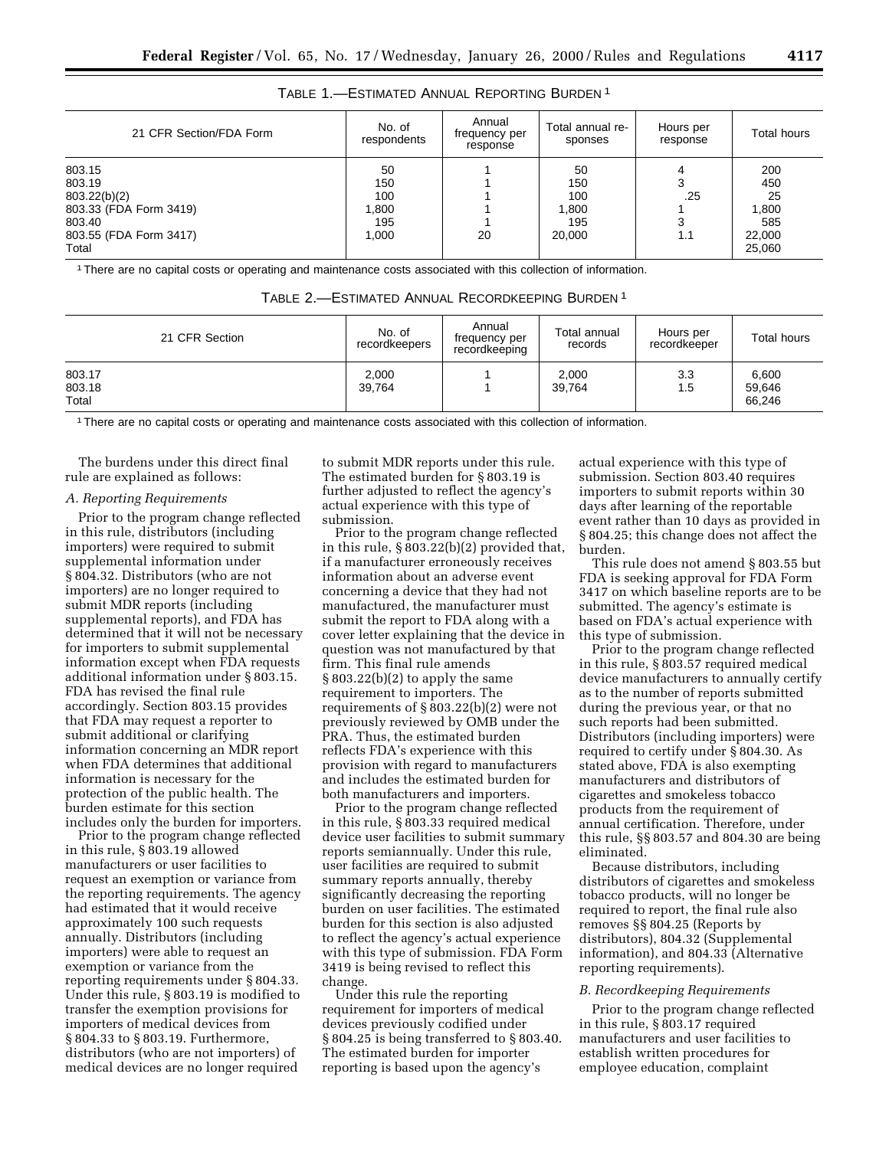# TABLE 1.—ESTIMATED ANNUAL REPORTING BURDEN 1

| 21 CFR Section/FDA Form                                                                                 | No. of<br>respondents                     | Annual<br>frequency per<br>response | Total annual re-<br>sponses                | Hours per<br>response | Total hours                                          |
|---------------------------------------------------------------------------------------------------------|-------------------------------------------|-------------------------------------|--------------------------------------------|-----------------------|------------------------------------------------------|
| 803.15<br>803.19<br>803.22(b)(2)<br>803.33 (FDA Form 3419)<br>803.40<br>803.55 (FDA Form 3417)<br>Total | 50<br>150<br>100<br>1,800<br>195<br>1.000 | 20                                  | 50<br>150<br>100<br>1,800<br>195<br>20,000 | 4<br>.25<br>1.1       | 200<br>450<br>25<br>1,800<br>585<br>22,000<br>25,060 |

1There are no capital costs or operating and maintenance costs associated with this collection of information.

| TABLE 2.-ESTIMATED ANNUAL RECORDKEEPING BURDEN <sup>1</sup> |  |  |  |
|-------------------------------------------------------------|--|--|--|
|-------------------------------------------------------------|--|--|--|

| 21 CFR Section            | No. of<br>recordkeepers | Annual<br>frequency per<br>recordkeeping | Total annual<br>records | Hours per<br>recordkeeper | Total hours               |
|---------------------------|-------------------------|------------------------------------------|-------------------------|---------------------------|---------------------------|
| 803.17<br>803.18<br>Total | 2,000<br>39.764         |                                          | 2,000<br>39.764         | 3.3<br>1.5                | 6,600<br>59,646<br>66,246 |

1There are no capital costs or operating and maintenance costs associated with this collection of information.

The burdens under this direct final rule are explained as follows:

## *A. Reporting Requirements*

Prior to the program change reflected in this rule, distributors (including importers) were required to submit supplemental information under § 804.32. Distributors (who are not importers) are no longer required to submit MDR reports (including supplemental reports), and FDA has determined that it will not be necessary for importers to submit supplemental information except when FDA requests additional information under § 803.15. FDA has revised the final rule accordingly. Section 803.15 provides that FDA may request a reporter to submit additional or clarifying information concerning an MDR report when FDA determines that additional information is necessary for the protection of the public health. The burden estimate for this section includes only the burden for importers.

Prior to the program change reflected in this rule, § 803.19 allowed manufacturers or user facilities to request an exemption or variance from the reporting requirements. The agency had estimated that it would receive approximately 100 such requests annually. Distributors (including importers) were able to request an exemption or variance from the reporting requirements under § 804.33. Under this rule, § 803.19 is modified to transfer the exemption provisions for importers of medical devices from § 804.33 to § 803.19. Furthermore, distributors (who are not importers) of medical devices are no longer required

to submit MDR reports under this rule. The estimated burden for § 803.19 is further adjusted to reflect the agency's actual experience with this type of submission.

Prior to the program change reflected in this rule, § 803.22(b)(2) provided that, if a manufacturer erroneously receives information about an adverse event concerning a device that they had not manufactured, the manufacturer must submit the report to FDA along with a cover letter explaining that the device in question was not manufactured by that firm. This final rule amends § 803.22(b)(2) to apply the same requirement to importers. The requirements of § 803.22(b)(2) were not previously reviewed by OMB under the PRA. Thus, the estimated burden reflects FDA's experience with this provision with regard to manufacturers and includes the estimated burden for both manufacturers and importers.

Prior to the program change reflected in this rule, § 803.33 required medical device user facilities to submit summary reports semiannually. Under this rule, user facilities are required to submit summary reports annually, thereby significantly decreasing the reporting burden on user facilities. The estimated burden for this section is also adjusted to reflect the agency's actual experience with this type of submission. FDA Form 3419 is being revised to reflect this change.

Under this rule the reporting requirement for importers of medical devices previously codified under § 804.25 is being transferred to § 803.40. The estimated burden for importer reporting is based upon the agency's

actual experience with this type of submission. Section 803.40 requires importers to submit reports within 30 days after learning of the reportable event rather than 10 days as provided in § 804.25; this change does not affect the burden.

This rule does not amend § 803.55 but FDA is seeking approval for FDA Form 3417 on which baseline reports are to be submitted. The agency's estimate is based on FDA's actual experience with this type of submission.

Prior to the program change reflected in this rule, § 803.57 required medical device manufacturers to annually certify as to the number of reports submitted during the previous year, or that no such reports had been submitted. Distributors (including importers) were required to certify under § 804.30. As stated above, FDA is also exempting manufacturers and distributors of cigarettes and smokeless tobacco products from the requirement of annual certification. Therefore, under this rule, §§ 803.57 and 804.30 are being eliminated.

Because distributors, including distributors of cigarettes and smokeless tobacco products, will no longer be required to report, the final rule also removes §§ 804.25 (Reports by distributors), 804.32 (Supplemental information), and 804.33 (Alternative reporting requirements).

# *B. Recordkeeping Requirements*

Prior to the program change reflected in this rule, § 803.17 required manufacturers and user facilities to establish written procedures for employee education, complaint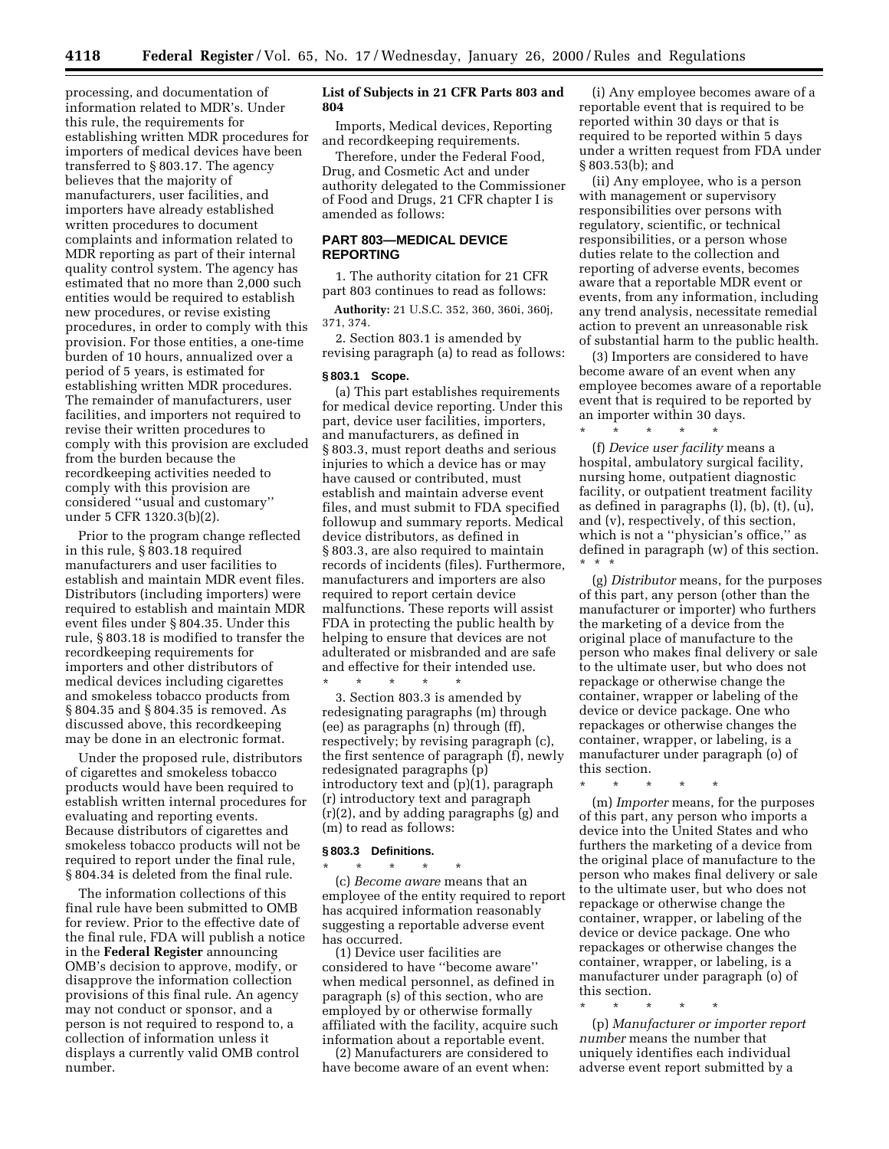processing, and documentation of information related to MDR's. Under this rule, the requirements for establishing written MDR procedures for importers of medical devices have been transferred to § 803.17. The agency believes that the majority of manufacturers, user facilities, and importers have already established written procedures to document complaints and information related to MDR reporting as part of their internal quality control system. The agency has estimated that no more than 2,000 such entities would be required to establish new procedures, or revise existing procedures, in order to comply with this provision. For those entities, a one-time burden of 10 hours, annualized over a period of 5 years, is estimated for establishing written MDR procedures. The remainder of manufacturers, user facilities, and importers not required to revise their written procedures to comply with this provision are excluded from the burden because the recordkeeping activities needed to comply with this provision are considered ''usual and customary'' under 5 CFR 1320.3(b)(2).

Prior to the program change reflected in this rule, § 803.18 required manufacturers and user facilities to establish and maintain MDR event files. Distributors (including importers) were required to establish and maintain MDR event files under § 804.35. Under this rule, § 803.18 is modified to transfer the recordkeeping requirements for importers and other distributors of medical devices including cigarettes and smokeless tobacco products from § 804.35 and § 804.35 is removed. As discussed above, this recordkeeping may be done in an electronic format.

Under the proposed rule, distributors of cigarettes and smokeless tobacco products would have been required to establish written internal procedures for evaluating and reporting events. Because distributors of cigarettes and smokeless tobacco products will not be required to report under the final rule, § 804.34 is deleted from the final rule.

The information collections of this final rule have been submitted to OMB for review. Prior to the effective date of the final rule, FDA will publish a notice in the **Federal Register** announcing OMB's decision to approve, modify, or disapprove the information collection provisions of this final rule. An agency may not conduct or sponsor, and a person is not required to respond to, a collection of information unless it displays a currently valid OMB control number.

# **List of Subjects in 21 CFR Parts 803 and 804**

Imports, Medical devices, Reporting and recordkeeping requirements.

Therefore, under the Federal Food, Drug, and Cosmetic Act and under authority delegated to the Commissioner of Food and Drugs, 21 CFR chapter I is amended as follows:

# **PART 803—MEDICAL DEVICE REPORTING**

1. The authority citation for 21 CFR part 803 continues to read as follows:

**Authority:** 21 U.S.C. 352, 360, 360i, 360j, 371, 374.

2. Section 803.1 is amended by revising paragraph (a) to read as follows:

# **§ 803.1 Scope.**

(a) This part establishes requirements for medical device reporting. Under this part, device user facilities, importers, and manufacturers, as defined in § 803.3, must report deaths and serious injuries to which a device has or may have caused or contributed, must establish and maintain adverse event files, and must submit to FDA specified followup and summary reports. Medical device distributors, as defined in § 803.3, are also required to maintain records of incidents (files). Furthermore, manufacturers and importers are also required to report certain device malfunctions. These reports will assist FDA in protecting the public health by helping to ensure that devices are not adulterated or misbranded and are safe and effective for their intended use. \* \* \* \* \*

3. Section 803.3 is amended by redesignating paragraphs (m) through (ee) as paragraphs (n) through (ff), respectively; by revising paragraph (c), the first sentence of paragraph (f), newly redesignated paragraphs (p) introductory text and (p)(1), paragraph (r) introductory text and paragraph (r)(2), and by adding paragraphs (g) and (m) to read as follows:

# **§ 803.3 Definitions.**

\* \* \* \* \* (c) *Become aware* means that an employee of the entity required to report has acquired information reasonably suggesting a reportable adverse event has occurred.

(1) Device user facilities are considered to have ''become aware'' when medical personnel, as defined in paragraph (s) of this section, who are employed by or otherwise formally affiliated with the facility, acquire such information about a reportable event.

(2) Manufacturers are considered to have become aware of an event when:

(i) Any employee becomes aware of a reportable event that is required to be reported within 30 days or that is required to be reported within 5 days under a written request from FDA under § 803.53(b); and

(ii) Any employee, who is a person with management or supervisory responsibilities over persons with regulatory, scientific, or technical responsibilities, or a person whose duties relate to the collection and reporting of adverse events, becomes aware that a reportable MDR event or events, from any information, including any trend analysis, necessitate remedial action to prevent an unreasonable risk of substantial harm to the public health.

(3) Importers are considered to have become aware of an event when any employee becomes aware of a reportable event that is required to be reported by an importer within 30 days.

\* \* \* \* \*

(f) *Device user facility* means a hospital, ambulatory surgical facility, nursing home, outpatient diagnostic facility, or outpatient treatment facility as defined in paragraphs (l), (b), (t), (u), and (v), respectively, of this section, which is not a "physician's office," as defined in paragraph (w) of this section. \*\*\*

(g) *Distributor* means, for the purposes of this part, any person (other than the manufacturer or importer) who furthers the marketing of a device from the original place of manufacture to the person who makes final delivery or sale to the ultimate user, but who does not repackage or otherwise change the container, wrapper or labeling of the device or device package. One who repackages or otherwise changes the container, wrapper, or labeling, is a manufacturer under paragraph (o) of this section.

\* \* \* \* \* (m) *Importer* means, for the purposes of this part, any person who imports a device into the United States and who furthers the marketing of a device from the original place of manufacture to the person who makes final delivery or sale to the ultimate user, but who does not repackage or otherwise change the container, wrapper, or labeling of the device or device package. One who repackages or otherwise changes the container, wrapper, or labeling, is a manufacturer under paragraph (o) of this section.

(p) *Manufacturer or importer report number* means the number that uniquely identifies each individual adverse event report submitted by a

\* \* \* \* \*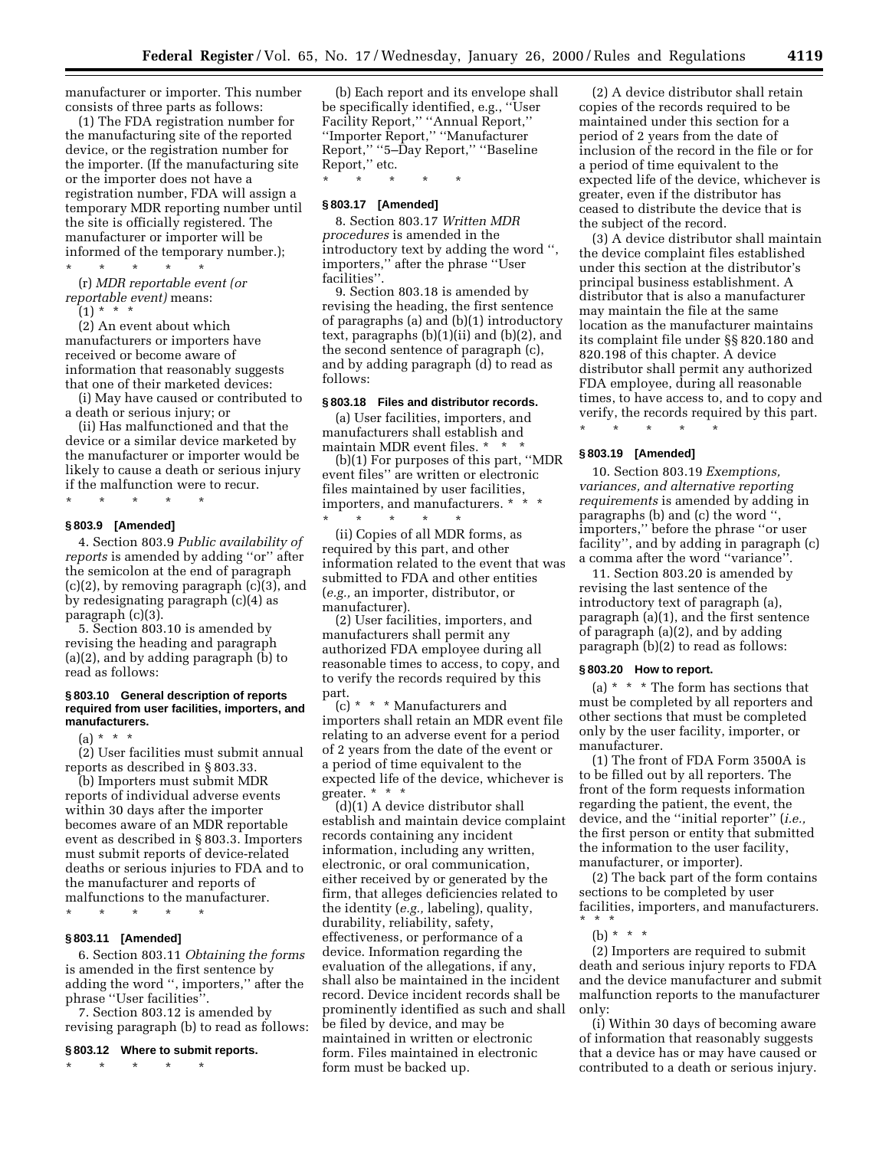manufacturer or importer. This number consists of three parts as follows:

(1) The FDA registration number for the manufacturing site of the reported device, or the registration number for the importer. (If the manufacturing site or the importer does not have a registration number, FDA will assign a temporary MDR reporting number until the site is officially registered. The manufacturer or importer will be informed of the temporary number.); \* \* \* \* \*

(r) *MDR reportable event (or reportable event)* means:

 $(1) * * *$ 

(2) An event about which manufacturers or importers have received or become aware of information that reasonably suggests that one of their marketed devices:

(i) May have caused or contributed to a death or serious injury; or

(ii) Has malfunctioned and that the device or a similar device marketed by the manufacturer or importer would be likely to cause a death or serious injury if the malfunction were to recur.

\* \* \* \* \*

# **§ 803.9 [Amended]**

4. Section 803.9 *Public availability of reports* is amended by adding ''or'' after the semicolon at the end of paragraph (c)(2), by removing paragraph (c)(3), and by redesignating paragraph (c)(4) as paragraph (c)(3).

5. Section 803.10 is amended by revising the heading and paragraph (a)(2), and by adding paragraph (b) to read as follows:

## **§ 803.10 General description of reports required from user facilities, importers, and manufacturers.**

 $(a) * * * *$ 

(2) User facilities must submit annual reports as described in § 803.33.

(b) Importers must submit MDR reports of individual adverse events within 30 days after the importer becomes aware of an MDR reportable event as described in § 803.3. Importers must submit reports of device-related deaths or serious injuries to FDA and to the manufacturer and reports of malfunctions to the manufacturer.

\* \* \* \* \*

# **§ 803.11 [Amended]**

6. Section 803.11 *Obtaining the forms* is amended in the first sentence by adding the word '', importers,'' after the phrase ''User facilities''.

7. Section 803.12 is amended by revising paragraph (b) to read as follows:

## **§ 803.12 Where to submit reports.**

\* \* \* \* \*

(b) Each report and its envelope shall be specifically identified, e.g., ''User Facility Report,'' ''Annual Report,'' ''Importer Report,'' ''Manufacturer Report,'' ''5–Day Report,'' ''Baseline Report,'' etc.

\* \* \* \* \*

# **§ 803.17 [Amended]**

8. Section 803.17 *Written MDR procedures* is amended in the introductory text by adding the word '', importers,'' after the phrase ''User facilities''.

9. Section 803.18 is amended by revising the heading, the first sentence of paragraphs (a) and (b)(1) introductory text, paragraphs (b)(1)(ii) and (b)(2), and the second sentence of paragraph (c), and by adding paragraph (d) to read as follows:

# **§ 803.18 Files and distributor records.**

(a) User facilities, importers, and manufacturers shall establish and maintain MDR event files. \* \* \*

(b)(1) For purposes of this part, ''MDR event files'' are written or electronic files maintained by user facilities, importers, and manufacturers. \* \* \*

\* \* \* \* \* (ii) Copies of all MDR forms, as required by this part, and other information related to the event that was submitted to FDA and other entities (*e.g.,* an importer, distributor, or manufacturer).

(2) User facilities, importers, and manufacturers shall permit any authorized FDA employee during all reasonable times to access, to copy, and to verify the records required by this part.

(c) \* \* \* Manufacturers and importers shall retain an MDR event file relating to an adverse event for a period of 2 years from the date of the event or a period of time equivalent to the expected life of the device, whichever is greater. \* \* \*

(d)(1) A device distributor shall establish and maintain device complaint records containing any incident information, including any written, electronic, or oral communication, either received by or generated by the firm, that alleges deficiencies related to the identity (*e.g.,* labeling), quality, durability, reliability, safety, effectiveness, or performance of a device. Information regarding the evaluation of the allegations, if any, shall also be maintained in the incident record. Device incident records shall be prominently identified as such and shall be filed by device, and may be maintained in written or electronic form. Files maintained in electronic form must be backed up.

(2) A device distributor shall retain copies of the records required to be maintained under this section for a period of 2 years from the date of inclusion of the record in the file or for a period of time equivalent to the expected life of the device, whichever is greater, even if the distributor has ceased to distribute the device that is the subject of the record.

(3) A device distributor shall maintain the device complaint files established under this section at the distributor's principal business establishment. A distributor that is also a manufacturer may maintain the file at the same location as the manufacturer maintains its complaint file under §§ 820.180 and 820.198 of this chapter. A device distributor shall permit any authorized FDA employee, during all reasonable times, to have access to, and to copy and verify, the records required by this part. \* \* \* \* \*

**§ 803.19 [Amended]**

10. Section 803.19 *Exemptions, variances, and alternative reporting requirements* is amended by adding in paragraphs (b) and (c) the word '', importers,'' before the phrase ''or user facility'', and by adding in paragraph (c) a comma after the word ''variance''.

11. Section 803.20 is amended by revising the last sentence of the introductory text of paragraph (a), paragraph (a)(1), and the first sentence of paragraph (a)(2), and by adding paragraph (b)(2) to read as follows:

# **§ 803.20 How to report.**

(a)  $*$   $*$   $*$  The form has sections that must be completed by all reporters and other sections that must be completed only by the user facility, importer, or manufacturer.

(1) The front of FDA Form 3500A is to be filled out by all reporters. The front of the form requests information regarding the patient, the event, the device, and the ''initial reporter'' (*i.e.,* the first person or entity that submitted the information to the user facility, manufacturer, or importer).

(2) The back part of the form contains sections to be completed by user facilities, importers, and manufacturers. \*\*\*

(b) \* \* \*

(2) Importers are required to submit death and serious injury reports to FDA and the device manufacturer and submit malfunction reports to the manufacturer only:

(i) Within 30 days of becoming aware of information that reasonably suggests that a device has or may have caused or contributed to a death or serious injury.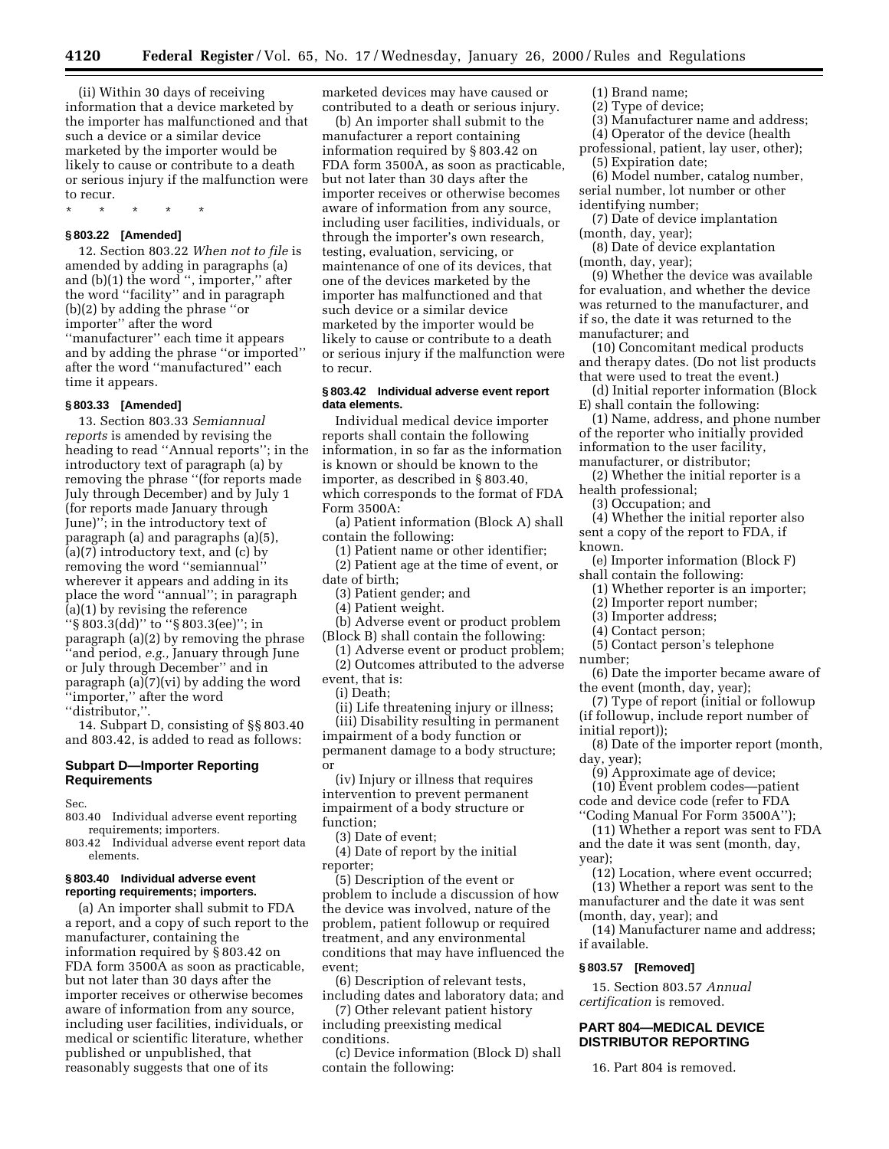(ii) Within 30 days of receiving information that a device marketed by the importer has malfunctioned and that such a device or a similar device marketed by the importer would be likely to cause or contribute to a death or serious injury if the malfunction were to recur.

# \* \* \* \* \*

**§ 803.22 [Amended]**

12. Section 803.22 *When not to file* is amended by adding in paragraphs (a) and (b)(1) the word '', importer,'' after the word ''facility'' and in paragraph (b)(2) by adding the phrase ''or importer'' after the word ''manufacturer'' each time it appears and by adding the phrase ''or imported'' after the word ''manufactured'' each time it appears.

# **§ 803.33 [Amended]**

13. Section 803.33 *Semiannual reports* is amended by revising the heading to read ''Annual reports''; in the introductory text of paragraph (a) by removing the phrase ''(for reports made July through December) and by July 1 (for reports made January through June)''; in the introductory text of paragraph (a) and paragraphs (a)(5), (a)(7) introductory text, and (c) by removing the word ''semiannual'' wherever it appears and adding in its place the word ''annual''; in paragraph (a)(1) by revising the reference ''§ 803.3(dd)'' to ''§ 803.3(ee)''; in paragraph (a)(2) by removing the phrase ''and period, *e.g.,* January through June or July through December'' and in paragraph (a)(7)(vi) by adding the word ''importer,'' after the word "distributor,'

14. Subpart D, consisting of §§ 803.40 and 803.42, is added to read as follows:

# **Subpart D—Importer Reporting Requirements**

Sec.

- 803.40 Individual adverse event reporting requirements; importers.
- 803.42 Individual adverse event report data elements.

# **§ 803.40 Individual adverse event reporting requirements; importers.**

(a) An importer shall submit to FDA a report, and a copy of such report to the manufacturer, containing the information required by § 803.42 on FDA form 3500A as soon as practicable, but not later than 30 days after the importer receives or otherwise becomes aware of information from any source, including user facilities, individuals, or medical or scientific literature, whether published or unpublished, that reasonably suggests that one of its

marketed devices may have caused or contributed to a death or serious injury.

(b) An importer shall submit to the manufacturer a report containing information required by § 803.42 on FDA form 3500A, as soon as practicable, but not later than 30 days after the importer receives or otherwise becomes aware of information from any source, including user facilities, individuals, or through the importer's own research, testing, evaluation, servicing, or maintenance of one of its devices, that one of the devices marketed by the importer has malfunctioned and that such device or a similar device marketed by the importer would be likely to cause or contribute to a death or serious injury if the malfunction were to recur.

# **§ 803.42 Individual adverse event report data elements.**

Individual medical device importer reports shall contain the following information, in so far as the information is known or should be known to the importer, as described in § 803.40, which corresponds to the format of FDA Form 3500A:

(a) Patient information (Block A) shall contain the following:

- (1) Patient name or other identifier; (2) Patient age at the time of event, or
- date of birth;
	- (3) Patient gender; and
	- (4) Patient weight.
- (b) Adverse event or product problem (Block B) shall contain the following:
	- (1) Adverse event or product problem;
- (2) Outcomes attributed to the adverse
- event, that is:
	- (i) Death;
	- (ii) Life threatening injury or illness;

(iii) Disability resulting in permanent impairment of a body function or permanent damage to a body structure; or

- (iv) Injury or illness that requires intervention to prevent permanent impairment of a body structure or function;
	- (3) Date of event;

(4) Date of report by the initial reporter;

(5) Description of the event or problem to include a discussion of how the device was involved, nature of the problem, patient followup or required treatment, and any environmental conditions that may have influenced the event;

(6) Description of relevant tests, including dates and laboratory data; and

(7) Other relevant patient history including preexisting medical conditions.

(c) Device information (Block D) shall contain the following:

(1) Brand name;

- (2) Type of device;
- (3) Manufacturer name and address;
- (4) Operator of the device (health professional, patient, lay user, other);
	- (5) Expiration date;

(6) Model number, catalog number, serial number, lot number or other identifying number;

(7) Date of device implantation (month, day, year);

(8) Date of device explantation (month, day, year);

(9) Whether the device was available for evaluation, and whether the device was returned to the manufacturer, and if so, the date it was returned to the manufacturer; and

(10) Concomitant medical products and therapy dates. (Do not list products that were used to treat the event.)

(d) Initial reporter information (Block E) shall contain the following:

(1) Name, address, and phone number of the reporter who initially provided information to the user facility, manufacturer, or distributor;

(2) Whether the initial reporter is a health professional;

(3) Occupation; and

- (4) Whether the initial reporter also sent a copy of the report to FDA, if known.
- (e) Importer information (Block F) shall contain the following:
	- (1) Whether reporter is an importer;
	- (2) Importer report number;
	- (3) Importer address;
	- (4) Contact person;
- (5) Contact person's telephone
- number;

(6) Date the importer became aware of the event (month, day, year);

- (7) Type of report (initial or followup (if followup, include report number of initial report));
- (8) Date of the importer report (month, day, year);

(9) Approximate age of device;

(10) Event problem codes—patient code and device code (refer to FDA ''Coding Manual For Form 3500A'');

(11) Whether a report was sent to FDA and the date it was sent (month, day, year);

(12) Location, where event occurred;

(13) Whether a report was sent to the manufacturer and the date it was sent (month, day, year); and

(14) Manufacturer name and address; if available.

# **§ 803.57 [Removed]**

15. Section 803.57 *Annual certification* is removed.

# **PART 804—MEDICAL DEVICE DISTRIBUTOR REPORTING**

16. Part 804 is removed.